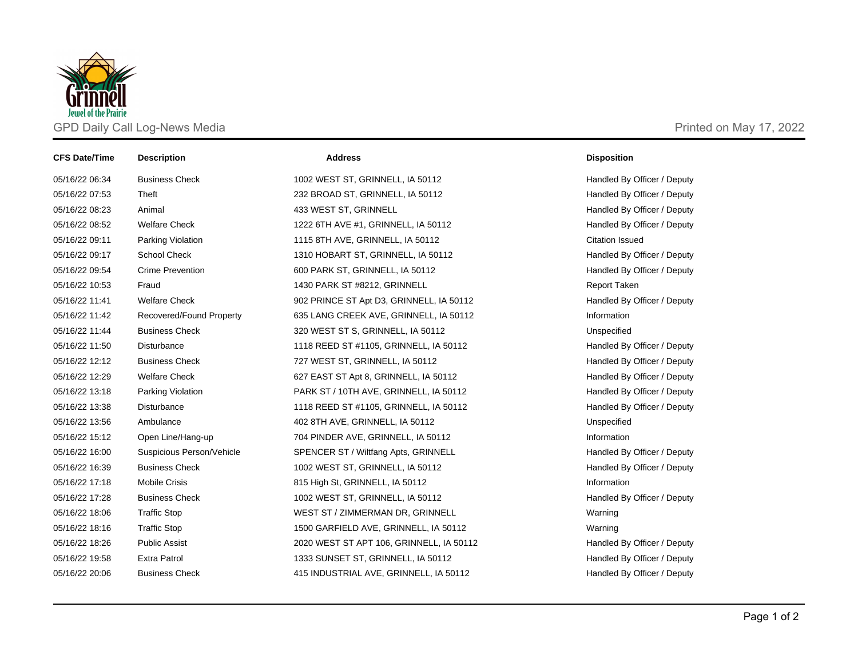

| <b>CFS Date/Time</b> | <b>Description</b>        | <b>Address</b>                           | <b>Disposition</b>          |
|----------------------|---------------------------|------------------------------------------|-----------------------------|
| 05/16/22 06:34       | <b>Business Check</b>     | 1002 WEST ST, GRINNELL, IA 50112         | Handled By Officer / Deputy |
| 05/16/22 07:53       | Theft                     | 232 BROAD ST, GRINNELL, IA 50112         | Handled By Officer / Deputy |
| 05/16/22 08:23       | Animal                    | 433 WEST ST, GRINNELL                    | Handled By Officer / Deputy |
| 05/16/22 08:52       | <b>Welfare Check</b>      | 1222 6TH AVE #1, GRINNELL, IA 50112      | Handled By Officer / Deputy |
| 05/16/22 09:11       | Parking Violation         | 1115 8TH AVE, GRINNELL, IA 50112         | <b>Citation Issued</b>      |
| 05/16/22 09:17       | School Check              | 1310 HOBART ST, GRINNELL, IA 50112       | Handled By Officer / Deputy |
| 05/16/22 09:54       | <b>Crime Prevention</b>   | 600 PARK ST, GRINNELL, IA 50112          | Handled By Officer / Deputy |
| 05/16/22 10:53       | Fraud                     | 1430 PARK ST #8212, GRINNELL             | Report Taken                |
| 05/16/22 11:41       | <b>Welfare Check</b>      | 902 PRINCE ST Apt D3, GRINNELL, IA 50112 | Handled By Officer / Deputy |
| 05/16/22 11:42       | Recovered/Found Property  | 635 LANG CREEK AVE, GRINNELL, IA 50112   | Information                 |
| 05/16/22 11:44       | <b>Business Check</b>     | 320 WEST ST S, GRINNELL, IA 50112        | Unspecified                 |
| 05/16/22 11:50       | Disturbance               | 1118 REED ST #1105, GRINNELL, IA 50112   | Handled By Officer / Deputy |
| 05/16/22 12:12       | <b>Business Check</b>     | 727 WEST ST, GRINNELL, IA 50112          | Handled By Officer / Deputy |
| 05/16/22 12:29       | <b>Welfare Check</b>      | 627 EAST ST Apt 8, GRINNELL, IA 50112    | Handled By Officer / Deputy |
| 05/16/22 13:18       | Parking Violation         | PARK ST / 10TH AVE, GRINNELL, IA 50112   | Handled By Officer / Deputy |
| 05/16/22 13:38       | <b>Disturbance</b>        | 1118 REED ST #1105, GRINNELL, IA 50112   | Handled By Officer / Deputy |
| 05/16/22 13:56       | Ambulance                 | 402 8TH AVE, GRINNELL, IA 50112          | Unspecified                 |
| 05/16/22 15:12       | Open Line/Hang-up         | 704 PINDER AVE, GRINNELL, IA 50112       | Information                 |
| 05/16/22 16:00       | Suspicious Person/Vehicle | SPENCER ST / Wiltfang Apts, GRINNELL     | Handled By Officer / Deputy |
| 05/16/22 16:39       | <b>Business Check</b>     | 1002 WEST ST, GRINNELL, IA 50112         | Handled By Officer / Deputy |
| 05/16/22 17:18       | <b>Mobile Crisis</b>      | 815 High St, GRINNELL, IA 50112          | Information                 |
| 05/16/22 17:28       | <b>Business Check</b>     | 1002 WEST ST, GRINNELL, IA 50112         | Handled By Officer / Deputy |
| 05/16/22 18:06       | <b>Traffic Stop</b>       | WEST ST / ZIMMERMAN DR, GRINNELL         | Warning                     |
| 05/16/22 18:16       | <b>Traffic Stop</b>       | 1500 GARFIELD AVE, GRINNELL, IA 50112    | Warning                     |
| 05/16/22 18:26       | <b>Public Assist</b>      | 2020 WEST ST APT 106, GRINNELL, IA 50112 | Handled By Officer / Deputy |
| 05/16/22 19:58       | <b>Extra Patrol</b>       | 1333 SUNSET ST, GRINNELL, IA 50112       | Handled By Officer / Deputy |
| 05/16/22 20:06       | <b>Business Check</b>     | 415 INDUSTRIAL AVE, GRINNELL, IA 50112   | Handled By Officer / Deputy |